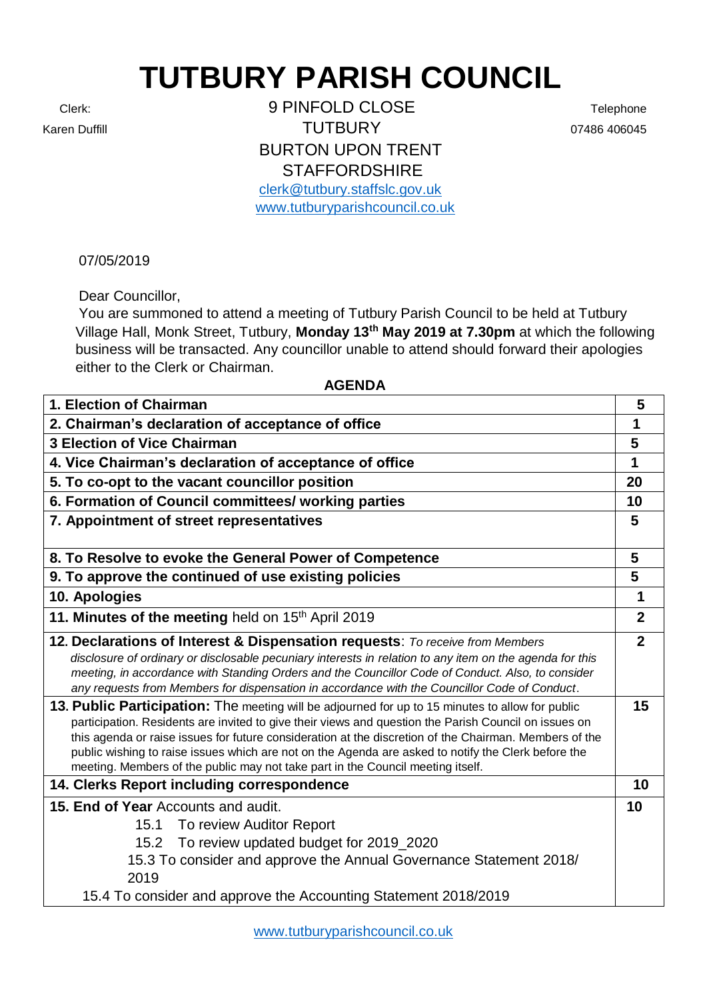## **TUTBURY PARISH COUNCIL**

Clerk: 9 PINFOLD CLOSE Telephone Karen Duffill **Contract Contract Contract Contract Contract Contract Contract Contract Contract Contract Contract Contract Contract Contract Contract Contract Contract Contract Contract Contract Contract Contract Contract** BURTON UPON TRENT **STAFFORDSHIRE** 

[clerk@tutbury.staffslc.gov.uk](mailto:clerk@tutbury.staffslc.gov.uk) [www.tutburyparishcouncil.co.uk](http://www.tutburyparishcouncil.co.uk/)

07/05/2019

Dear Councillor,

You are summoned to attend a meeting of Tutbury Parish Council to be held at Tutbury Village Hall, Monk Street, Tutbury, **Monday 13th May 2019 at 7.30pm** at which the following business will be transacted. Any councillor unable to attend should forward their apologies either to the Clerk or Chairman.

## **AGENDA**

| 1. Election of Chairman                                                                                                                                                                                                                                                                                                                                                                                                                                                                                       | 5              |
|---------------------------------------------------------------------------------------------------------------------------------------------------------------------------------------------------------------------------------------------------------------------------------------------------------------------------------------------------------------------------------------------------------------------------------------------------------------------------------------------------------------|----------------|
| 2. Chairman's declaration of acceptance of office                                                                                                                                                                                                                                                                                                                                                                                                                                                             | 1              |
| <b>3 Election of Vice Chairman</b>                                                                                                                                                                                                                                                                                                                                                                                                                                                                            | 5              |
| 4. Vice Chairman's declaration of acceptance of office                                                                                                                                                                                                                                                                                                                                                                                                                                                        | 1              |
| 5. To co-opt to the vacant councillor position                                                                                                                                                                                                                                                                                                                                                                                                                                                                | 20             |
| 6. Formation of Council committees/ working parties                                                                                                                                                                                                                                                                                                                                                                                                                                                           | 10             |
| 7. Appointment of street representatives                                                                                                                                                                                                                                                                                                                                                                                                                                                                      | 5              |
|                                                                                                                                                                                                                                                                                                                                                                                                                                                                                                               |                |
| 8. To Resolve to evoke the General Power of Competence                                                                                                                                                                                                                                                                                                                                                                                                                                                        | 5              |
| 9. To approve the continued of use existing policies                                                                                                                                                                                                                                                                                                                                                                                                                                                          | 5              |
| 10. Apologies                                                                                                                                                                                                                                                                                                                                                                                                                                                                                                 | 1              |
| 11. Minutes of the meeting held on 15th April 2019                                                                                                                                                                                                                                                                                                                                                                                                                                                            | $\overline{2}$ |
| 12. Declarations of Interest & Dispensation requests: To receive from Members<br>disclosure of ordinary or disclosable pecuniary interests in relation to any item on the agenda for this<br>meeting, in accordance with Standing Orders and the Councillor Code of Conduct. Also, to consider<br>any requests from Members for dispensation in accordance with the Councillor Code of Conduct.                                                                                                               | $\mathbf{2}$   |
| 13. Public Participation: The meeting will be adjourned for up to 15 minutes to allow for public<br>participation. Residents are invited to give their views and question the Parish Council on issues on<br>this agenda or raise issues for future consideration at the discretion of the Chairman. Members of the<br>public wishing to raise issues which are not on the Agenda are asked to notify the Clerk before the<br>meeting. Members of the public may not take part in the Council meeting itself. | 15             |
| 14. Clerks Report including correspondence                                                                                                                                                                                                                                                                                                                                                                                                                                                                    | 10             |
| 15. End of Year Accounts and audit.<br>To review Auditor Report<br>15.1<br>To review updated budget for 2019_2020<br>15.2<br>15.3 To consider and approve the Annual Governance Statement 2018/<br>2019<br>15.4 To consider and approve the Accounting Statement 2018/2019                                                                                                                                                                                                                                    | 10             |